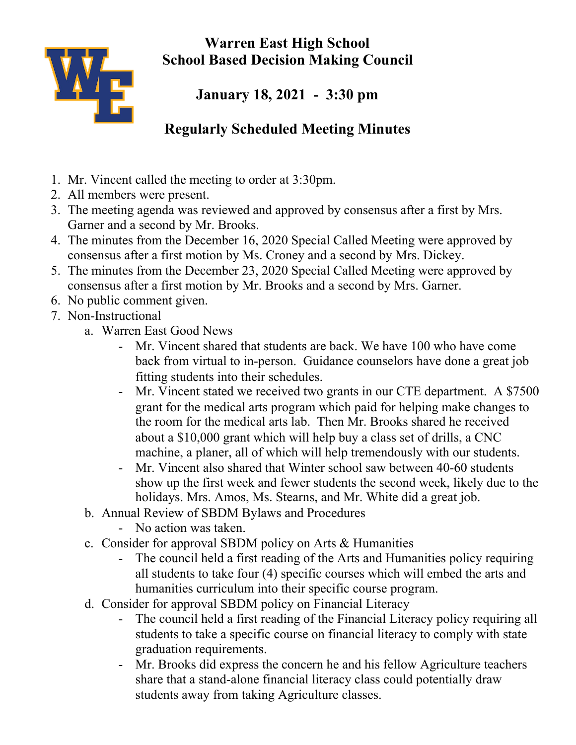

**Warren East High School School Based Decision Making Council**

**January 18, 2021 - 3:30 pm**

## **Regularly Scheduled Meeting Minutes**

- 1. Mr. Vincent called the meeting to order at 3:30pm.
- 2. All members were present.
- 3. The meeting agenda was reviewed and approved by consensus after a first by Mrs. Garner and a second by Mr. Brooks.
- 4. The minutes from the December 16, 2020 Special Called Meeting were approved by consensus after a first motion by Ms. Croney and a second by Mrs. Dickey.
- 5. The minutes from the December 23, 2020 Special Called Meeting were approved by consensus after a first motion by Mr. Brooks and a second by Mrs. Garner.
- 6. No public comment given.
- 7. Non-Instructional
	- a. Warren East Good News
		- Mr. Vincent shared that students are back. We have 100 who have come back from virtual to in-person. Guidance counselors have done a great job fitting students into their schedules.
		- Mr. Vincent stated we received two grants in our CTE department. A \$7500 grant for the medical arts program which paid for helping make changes to the room for the medical arts lab. Then Mr. Brooks shared he received about a \$10,000 grant which will help buy a class set of drills, a CNC machine, a planer, all of which will help tremendously with our students.
		- Mr. Vincent also shared that Winter school saw between 40-60 students show up the first week and fewer students the second week, likely due to the holidays. Mrs. Amos, Ms. Stearns, and Mr. White did a great job.
	- b. Annual Review of SBDM Bylaws and Procedures
		- No action was taken.
	- c. Consider for approval SBDM policy on Arts & Humanities
		- The council held a first reading of the Arts and Humanities policy requiring all students to take four (4) specific courses which will embed the arts and humanities curriculum into their specific course program.
	- d. Consider for approval SBDM policy on Financial Literacy
		- The council held a first reading of the Financial Literacy policy requiring all students to take a specific course on financial literacy to comply with state graduation requirements.
		- Mr. Brooks did express the concern he and his fellow Agriculture teachers share that a stand-alone financial literacy class could potentially draw students away from taking Agriculture classes.